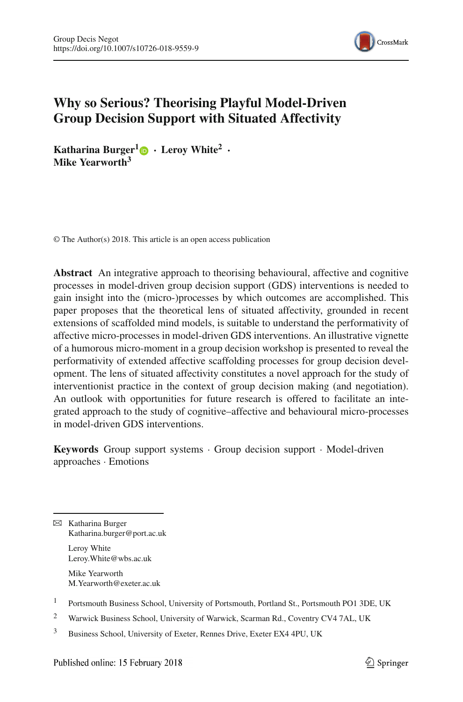

# **Why so Serious? Theorising Playful Model-Driven Group Decision Support with Situated Affectivity**

**Katharina Burger[1](http://orcid.org/0000-0002-4348-5381) · Leroy White2 · Mike Yearworth<sup>3</sup>**

© The Author(s) 2018. This article is an open access publication

**Abstract** An integrative approach to theorising behavioural, affective and cognitive processes in model-driven group decision support (GDS) interventions is needed to gain insight into the (micro-)processes by which outcomes are accomplished. This paper proposes that the theoretical lens of situated affectivity, grounded in recent extensions of scaffolded mind models, is suitable to understand the performativity of affective micro-processes in model-driven GDS interventions. An illustrative vignette of a humorous micro-moment in a group decision workshop is presented to reveal the performativity of extended affective scaffolding processes for group decision development. The lens of situated affectivity constitutes a novel approach for the study of interventionist practice in the context of group decision making (and negotiation). An outlook with opportunities for future research is offered to facilitate an integrated approach to the study of cognitive–affective and behavioural micro-processes in model-driven GDS interventions.

**Keywords** Group support systems · Group decision support · Model-driven approaches · Emotions

B Katharina Burger Katharina.burger@port.ac.uk Leroy White Leroy.White@wbs.ac.uk Mike Yearworth M.Yearworth@exeter.ac.uk

<sup>1</sup> Portsmouth Business School, University of Portsmouth, Portland St., Portsmouth PO1 3DE, UK

<sup>2</sup> Warwick Business School, University of Warwick, Scarman Rd., Coventry CV4 7AL, UK

<sup>3</sup> Business School, University of Exeter, Rennes Drive, Exeter EX4 4PU, UK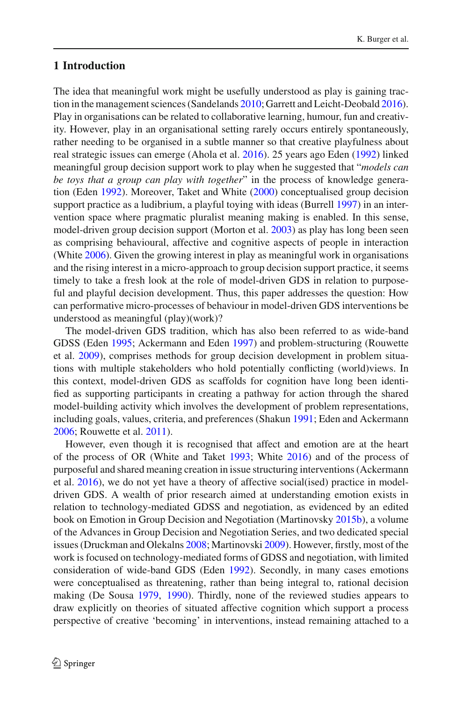## **1 Introduction**

The idea that meaningful work might be usefully understood as play is gaining traction in the management sciences (Sandeland[s](#page-19-0) [2010](#page-19-0); Garrett and Leicht-Deobal[d](#page-18-0) [2016](#page-18-0)). Play in organisations can be related to collaborative learning, humour, fun and creativity. However, play in an organisational setting rarely occurs entirely spontaneously, rather needing to be organised in a subtle manner so that creative playfulness about real strategic issues can emerge (Ahola et al[.](#page-17-0) [2016](#page-17-0)). 25 years ago Ede[n](#page-18-1) [\(1992](#page-18-1)) linked meaningful group decision support work to play when he suggested that "*models can be toys that a group can play with together*" in the process of knowledge generation (Ede[n](#page-18-1) [1992\)](#page-18-1). Moreover, Taket and Whit[e](#page-20-0) [\(2000\)](#page-20-0) conceptualised group decision support practice as a ludibrium, a playful toying with ideas (Burrel[l](#page-17-1) [1997](#page-17-1)) in an intervention space where pragmatic pluralist meaning making is enabled. In this sense, model-driven group decision support (Morton et al[.](#page-19-1) [2003](#page-19-1)) as play has long been seen as comprising behavioural, affective and cognitive aspects of people in interaction (Whit[e](#page-20-1) [2006](#page-20-1)). Given the growing interest in play as meaningful work in organisations and the rising interest in a micro-approach to group decision support practice, it seems timely to take a fresh look at the role of model-driven GDS in relation to purposeful and playful decision development. Thus, this paper addresses the question: How can performative micro-processes of behaviour in model-driven GDS interventions be understood as meaningful (play)(work)?

The model-driven GDS tradition, which has also been referred to as wide-band GDSS (Ede[n](#page-18-2) [1995;](#page-18-2) Ackermann and Ede[n](#page-17-2) [1997\)](#page-17-2) and problem-structuring (Rouwette et al[.](#page-19-2) [2009](#page-19-2)), comprises methods for group decision development in problem situations with multiple stakeholders who hold potentially conflicting (world)views. In this context, model-driven GDS as scaffolds for cognition have long been identified as supporting participants in creating a pathway for action through the shared model-building activity which involves the development of problem representations, including goals, values, criteria, and preferences (Shaku[n](#page-20-2) [1991;](#page-20-2) Eden and Ackerman[n](#page-18-3) [2006;](#page-18-3) Rouwette et al[.](#page-19-3) [2011](#page-19-3)).

However, even though it is recognised that affect and emotion are at the heart of the process of OR (White and Take[t](#page-20-3) [1993;](#page-20-3) Whit[e](#page-20-4) [2016](#page-20-4)) and of the process of purposeful and shared meaning creation in issue structuring interventions (Ackermann et al[.](#page-17-3) [2016](#page-17-3)), we do not yet have a theory of affective social(ised) practice in modeldriven GDS. A wealth of prior research aimed at understanding emotion exists in relation to technology-mediated GDSS and negotiation, as evidenced by an edited book on Emotion in Group Decision and Negotiation (Martinovsk[y](#page-19-4) [2015b\)](#page-19-4), a volume of the Advances in Group Decision and Negotiation Series, and two dedicated special issues (Druckman and Olekaln[s](#page-18-4) [2008](#page-18-4); Martinovsk[i](#page-19-5) [2009\)](#page-19-5). However, firstly, most of the work is focused on technology-mediated forms of GDSS and negotiation, with limited consideration of wide-band GDS (Ede[n](#page-18-1) [1992](#page-18-1)). Secondly, in many cases emotions were conceptualised as threatening, rather than being integral to, rational decision making (De Sous[a](#page-18-5) [1979,](#page-18-5) [1990](#page-18-6)). Thirdly, none of the reviewed studies appears to draw explicitly on theories of situated affective cognition which support a process perspective of creative 'becoming' in interventions, instead remaining attached to a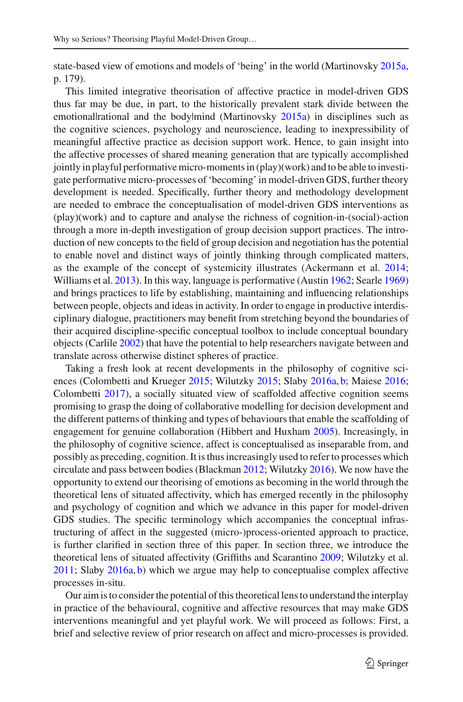state-based view of emotions and models of 'being' in the world (Martinovsk[y](#page-19-6) [2015a,](#page-19-6) p. 179).

This limited integrative theorisation of affective practice in model-driven GDS thus far may be due, in part, to the historically prevalent stark divide between the emotionallrational and the bod[y](#page-19-6)lmind (Martinovsky [2015a](#page-19-6)) in disciplines such as the cognitive sciences, psychology and neuroscience, leading to inexpressibility of meaningful affective practice as decision support work. Hence, to gain insight into the affective processes of shared meaning generation that are typically accomplished jointly in playful performative micro-moments in (play)(work) and to be able to investigate performative micro-processes of 'becoming' in model-driven GDS, further theory development is needed. Specifically, further theory and methodology development are needed to embrace the conceptualisation of model-driven GDS interventions as (play)(work) and to capture and analyse the richness of cognition-in-(social)-action through a more in-depth investigation of group decision support practices. The introduction of new concepts to the field of group decision and negotiation has the potential to enable novel and distinct ways of jointly thinking through complicated matters, as the example of the concept of systemicity illustrates (Ackermann et al[.](#page-17-4) [2014](#page-17-4); Williams et al[.](#page-20-5) [2013](#page-20-5)). I[n](#page-17-5) this way, language is performative (Austin [1962;](#page-17-5) S[e](#page-20-6)arle [1969\)](#page-20-6) and brings practices to life by establishing, maintaining and influencing relationships between people, objects and ideas in activity. In order to engage in productive interdisciplinary dialogue, practitioners may benefit from stretching beyond the boundaries of their acquired discipline-specific conceptual toolbox to include conceptual boundary objects (Carlil[e](#page-17-6) [2002](#page-17-6)) that have the potential to help researchers navigate between and translate across otherwise distinct spheres of practice.

Taking a fresh look at recent developments in the philosophy of cognitive sciences (Colombetti and K[r](#page-17-7)ueger [2015](#page-17-7); Wilutzk[y](#page-20-8) [2015;](#page-20-7) Slaby [2016a](#page-20-8), [b](#page-20-9); Mai[e](#page-19-7)se [2016](#page-19-7); Colombett[i](#page-17-8) [2017](#page-17-8)), a socially situated view of scaffolded affective cognition seems promising to grasp the doing of collaborative modelling for decision development and the different patterns of thinking and types of behaviours that enable the scaffolding of engagement for genuine collaboration (Hibbert and Huxha[m](#page-18-7) [2005\)](#page-18-7). Increasingly, in the philosophy of cognitive science, affect is conceptualised as inseparable from, and possibly as preceding, cognition. It is thus increasingly used to refer to processes which circulate and pass between bodies (Blackma[n](#page-17-9) [2012;](#page-17-9) Wilutzk[y](#page-20-10) [2016\)](#page-20-10). We now have the opportunity to extend our theorising of emotions as becoming in the world through the theoretical lens of situated affectivity, which has emerged recently in the philosophy and psychology of cognition and which we advance in this paper for model-driven GDS studies. The specific terminology which accompanies the conceptual infrastructuring of affect in the suggested (micro-)process-oriented approach to practice, is further clarified in section three of this paper. In section three, we introduce the theoretical lens of situated affectivity (Griffiths and Scarantin[o](#page-18-8) [2009;](#page-18-8) Wilutzky et al[.](#page-21-0) [2011;](#page-21-0) Slab[y](#page-20-8) [2016a](#page-20-8), [b](#page-20-9)) which we argue may help to conceptualise complex affective processes in-situ.

Our aim is to consider the potential of this theoretical lens to understand the interplay in practice of the behavioural, cognitive and affective resources that may make GDS interventions meaningful and yet playful work. We will proceed as follows: First, a brief and selective review of prior research on affect and micro-processes is provided.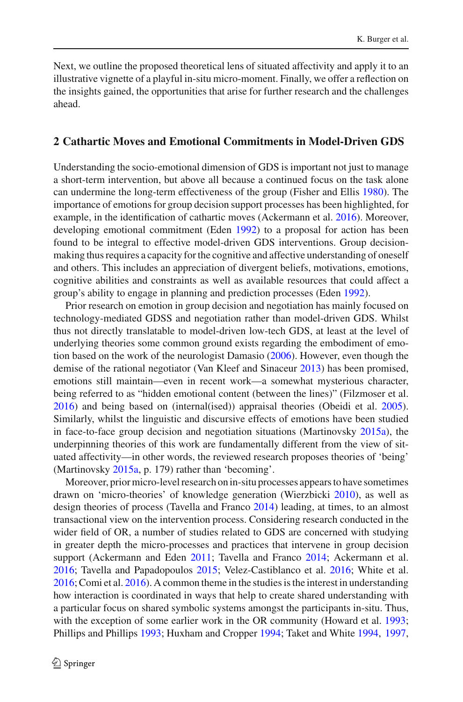Next, we outline the proposed theoretical lens of situated affectivity and apply it to an illustrative vignette of a playful in-situ micro-moment. Finally, we offer a reflection on the insights gained, the opportunities that arise for further research and the challenges ahead.

#### **2 Cathartic Moves and Emotional Commitments in Model-Driven GDS**

Understanding the socio-emotional dimension of GDS is important not just to manage a short-term intervention, but above all because a continued focus on the task alone can undermine the long-term effectiveness of the group (Fisher and Elli[s](#page-18-9) [1980](#page-18-9)). The importance of emotions for group decision support processes has been highlighted, for example, in the identification of cathartic moves (Ackermann et al[.](#page-17-3) [2016\)](#page-17-3). Moreover, developing emotional commitment (Ede[n](#page-18-1) [1992\)](#page-18-1) to a proposal for action has been found to be integral to effective model-driven GDS interventions. Group decisionmaking thus requires a capacity for the cognitive and affective understanding of oneself and others. This includes an appreciation of divergent beliefs, motivations, emotions, cognitive abilities and constraints as well as available resources that could affect a group's ability to engage in planning and prediction processes (Ede[n](#page-18-1) [1992](#page-18-1)).

Prior research on emotion in group decision and negotiation has mainly focused on technology-mediated GDSS and negotiation rather than model-driven GDS. Whilst thus not directly translatable to model-driven low-tech GDS, at least at the level of underlying theories some common ground exists regarding the embodiment of emotion based on the work of the neurologist Damasi[o](#page-17-10) [\(2006\)](#page-17-10). However, even though the demise of the rational negotiator (Van Kleef and Sinaceu[r](#page-20-11) [2013\)](#page-20-11) has been promised, emotions still maintain—even in recent work—a somewhat mysterious character, being referred to as "hidden emotional content (between the lines)" (Filzmoser et al[.](#page-18-10) [2016\)](#page-18-10) and being based on (internal(ised)) appraisal theories (Obeidi et al[.](#page-19-8) [2005](#page-19-8)). Similarly, whilst the linguistic and discursive effects of emotions have been studied in face-to-face group decision and negotiation situations (Martinovsk[y](#page-19-6) [2015a](#page-19-6)), the underpinning theories of this work are fundamentally different from the view of situated affectivity—in other words, the reviewed research proposes theories of 'being' (Martinovsk[y](#page-19-6) [2015a](#page-19-6), p. 179) rather than 'becoming'.

Moreover, prior micro-level research on in-situ processes appears to have sometimes drawn on 'micro-theories' of knowledge generation (Wierzbick[i](#page-20-12) [2010](#page-20-12)), as well as design theories of process (Tavella and Franc[o](#page-20-13) [2014\)](#page-20-13) leading, at times, to an almost transactional view on the intervention process. Considering research conducted in the wider field of OR, a number of studies related to GDS are concerned with studying in greater depth the micro-processes and practices that intervene in group decision support (Ackermann and Ede[n](#page-17-11) [2011;](#page-17-11) Tavella and Franc[o](#page-20-13) [2014](#page-20-13); Ackermann et al[.](#page-17-3) [2016;](#page-17-3) Tavella and Papadopoulo[s](#page-20-14) [2015;](#page-20-14) Velez-Castiblanco et al[.](#page-20-15) [2016](#page-20-15); White et al[.](#page-20-16) [2016;](#page-20-16) Comi et al[.](#page-17-12) [2016\)](#page-17-12). A common theme in the studies is the interest in understanding how interaction is coordinated in ways that help to create shared understanding with a particular focus on shared symbolic systems amongst the participants in-situ. Thus, with the exception of some earlier work in the OR community (Howard et al[.](#page-18-11) [1993](#page-18-11); Phillips and Phillip[s](#page-19-9) [1993](#page-19-9); Huxham and Croppe[r](#page-18-12) [1994;](#page-18-12) Taket and Whit[e](#page-20-17) [1994](#page-20-17), [1997,](#page-20-18)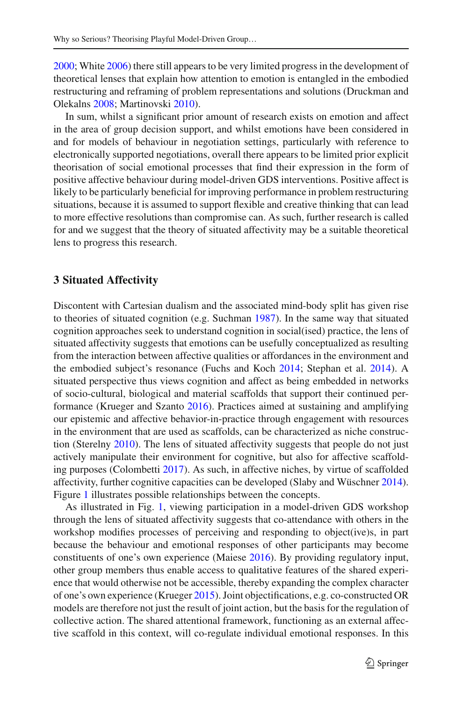[2000;](#page-20-0) Whit[e](#page-20-1) [2006](#page-20-1)) there still appears to be very limited progress in the development of theoretical lenses that explain how attention to emotion is entangled in the embodied restructuring and reframing of problem representations and solutions (Druckman and Olekaln[s](#page-18-4) [2008;](#page-18-4) Martinovsk[i](#page-19-10) [2010\)](#page-19-10).

In sum, whilst a significant prior amount of research exists on emotion and affect in the area of group decision support, and whilst emotions have been considered in and for models of behaviour in negotiation settings, particularly with reference to electronically supported negotiations, overall there appears to be limited prior explicit theorisation of social emotional processes that find their expression in the form of positive affective behaviour during model-driven GDS interventions. Positive affect is likely to be particularly beneficial for improving performance in problem restructuring situations, because it is assumed to support flexible and creative thinking that can lead to more effective resolutions than compromise can. As such, further research is called for and we suggest that the theory of situated affectivity may be a suitable theoretical lens to progress this research.

#### **3 Situated Affectivity**

Discontent with Cartesian dualism and the associated mind-body split has given rise to theories of situated cognition (e.g. Suchma[n](#page-20-19) [1987\)](#page-20-19). In the same way that situated cognition approaches seek to understand cognition in social(ised) practice, the lens of situated affectivity suggests that emotions can be usefully conceptualized as resulting from the interaction between affective qualities or affordances in the environment and the embodied subject's resonance (Fuchs and Koc[h](#page-18-13) [2014](#page-18-13); Stephan et al[.](#page-20-20) [2014](#page-20-20)). A situated perspective thus views cognition and affect as being embedded in networks of socio-cultural, biological and material scaffolds that support their continued performance (Krueger and Szant[o](#page-19-11) [2016\)](#page-19-11). Practices aimed at sustaining and amplifying our epistemic and affective behavior-in-practice through engagement with resources in the environment that are used as scaffolds, can be characterized as niche construction (Stereln[y](#page-20-21) [2010](#page-20-21)). The lens of situated affectivity suggests that people do not just actively manipulate their environment for cognitive, but also for affective scaffolding purposes (Colombett[i](#page-17-8) [2017\)](#page-17-8). As such, in affective niches, by virtue of scaffolded affectivity, further cognitive capacities can be developed (Slaby and Wüschne[r](#page-20-22) [2014](#page-20-22)). Figure [1](#page-5-0) illustrates possible relationships between the concepts.

As illustrated in Fig. [1,](#page-5-0) viewing participation in a model-driven GDS workshop through the lens of situated affectivity suggests that co-attendance with others in the workshop modifies processes of perceiving and responding to object(ive)s, in part because the behaviour and emotional responses of other participants may become constituents of one's own experience (Maies[e](#page-19-7) [2016\)](#page-19-7). By providing regulatory input, other group members thus enable access to qualitative features of the shared experience that would otherwise not be accessible, thereby expanding the complex character of one's own experience (Kruege[r](#page-19-12) [2015](#page-19-12)). Joint objectifications, e.g. co-constructed OR models are therefore not just the result of joint action, but the basis for the regulation of collective action. The shared attentional framework, functioning as an external affective scaffold in this context, will co-regulate individual emotional responses. In this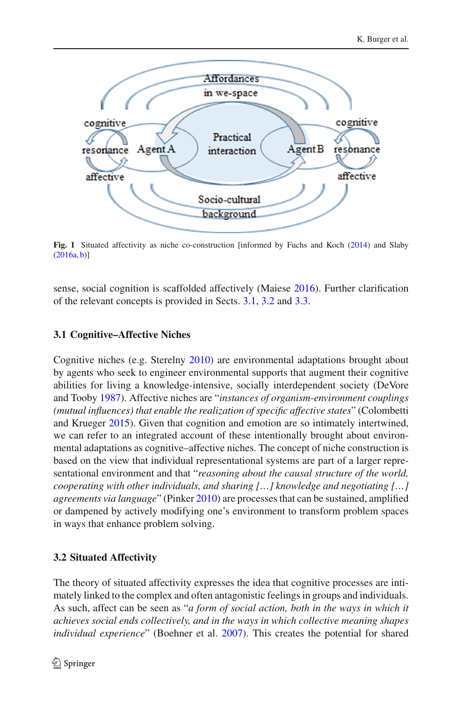

<span id="page-5-0"></span>**Fig. 1** Situated affectivity as niche co-construction [informed by Fuchs and Koc[h](#page-18-13) [\(2014\)](#page-18-13) and Slab[y](#page-20-8)  $(2016a, b)$  $(2016a, b)$  $(2016a, b)$ ]

sense, social cognition is scaffolded affectively (Maies[e](#page-19-7) [2016](#page-19-7)). Further clarification of the relevant concepts is provided in Sects. [3.1,](#page-5-1) [3.2](#page-5-2) and [3.3.](#page-7-0)

## <span id="page-5-1"></span>**3.1 Cognitive–Affective Niches**

Cognitive niches (e.g. Stereln[y](#page-20-21) [2010\)](#page-20-21) are environmental adaptations brought about by agents who seek to engineer environmental supports that augment their cognitive abilities for living a knowledge-intensive, socially interdependent society (DeVore and Toob[y](#page-18-14) [1987\)](#page-18-14). Affective niches are "*instances of organism-environment couplings (mutual influences) that enable the realization of specific affective states*" (Colombetti and Kruege[r](#page-17-7) [2015](#page-17-7)). Given that cognition and emotion are so intimately intertwined, we can refer to an integrated account of these intentionally brought about environmental adaptations as cognitive–affective niches. The concept of niche construction is based on the view that individual representational systems are part of a larger representational environment and that "*reasoning about the causal structure of the world, cooperating with other individuals, and sharing […] knowledge and negotiating […] agreements via language*" (Pinke[r](#page-19-13) [2010](#page-19-13)) are processes that can be sustained, amplified or dampened by actively modifying one's environment to transform problem spaces in ways that enhance problem solving.

## <span id="page-5-2"></span>**3.2 Situated Affectivity**

The theory of situated affectivity expresses the idea that cognitive processes are intimately linked to the complex and often antagonistic feelings in groups and individuals. As such, affect can be seen as "*a form of social action, both in the ways in which it achieves social ends collectively, and in the ways in which collective meaning shapes individual experience*" (Boehner et al[.](#page-17-13) [2007](#page-17-13)). This creates the potential for shared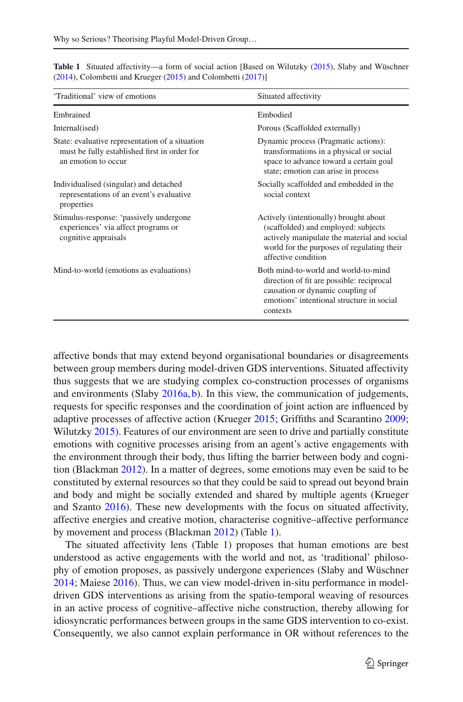| 'Traditional' view of emotions                                                                                         | Situated affectivity                                                                                                                                                                              |
|------------------------------------------------------------------------------------------------------------------------|---------------------------------------------------------------------------------------------------------------------------------------------------------------------------------------------------|
| Embrained                                                                                                              | Embodied                                                                                                                                                                                          |
| Internal(ised)                                                                                                         | Porous (Scaffolded externally)                                                                                                                                                                    |
| State: evaluative representation of a situation<br>must be fully established first in order for<br>an emotion to occur | Dynamic process (Pragmatic actions):<br>transformations in a physical or social<br>space to advance toward a certain goal<br>state; emotion can arise in process                                  |
| Individualised (singular) and detached<br>representations of an event's evaluative<br>properties                       | Socially scaffolded and embedded in the<br>social context                                                                                                                                         |
| Stimulus-response: 'passively undergone<br>experiences' via affect programs or<br>cognitive appraisals                 | Actively (intentionally) brought about<br>(scaffolded) and employed: subjects<br>actively manipulate the material and social<br>world for the purposes of regulating their<br>affective condition |
| Mind-to-world (emotions as evaluations)                                                                                | Both mind-to-world and world-to-mind<br>direction of fit are possible: reciprocal<br>causation or dynamic coupling of<br>emotions' intentional structure in social<br>contexts                    |

<span id="page-6-0"></span>**Table 1** Situated affectivity—a form of social action [Based on Wilutzk[y](#page-20-7) [\(2015\)](#page-20-7), Slaby and Wüschne[r](#page-20-22) [\(2014](#page-20-22)), Colombetti and Kruege[r](#page-17-7) [\(2015\)](#page-17-7) and Colombett[i](#page-17-8) [\(2017\)](#page-17-8)]

affective bonds that may extend beyond organisational boundaries or disagreements between group members during model-driven GDS interventions. Situated affectivity thus suggests that we are studying complex co-construction processes of organisms and environments (Slab[y](#page-20-8) [2016a](#page-20-8), [b\)](#page-20-9). In this view, the communication of judgements, requests for specific responses and the coordination of joint action are influenced by adaptive processes of affective action (Kruege[r](#page-19-12) [2015](#page-19-12); Griffiths and Scarantin[o](#page-18-8) [2009](#page-18-8); Wilutzk[y](#page-20-7) [2015](#page-20-7)). Features of our environment are seen to drive and partially constitute emotions with cognitive processes arising from an agent's active engagements with the environment through their body, thus lifting the barrier between body and cognition (Blackma[n](#page-17-9) [2012\)](#page-17-9). In a matter of degrees, some emotions may even be said to be constituted by external resources so that they could be said to spread out beyond brain and body and might be socially extended and shared by multiple agents (Krueger and Szant[o](#page-19-11) [2016](#page-19-11)). These new developments with the focus on situated affectivity, affective energies and creative motion, characterise cognitive–affective performance by movement and process (Blackma[n](#page-17-9) [2012\)](#page-17-9) (Table [1\)](#page-6-0).

The situated affectivity lens (Table [1\)](#page-6-0) proposes that human emotions are best understood as active engagements with the world and not, as 'traditional' philosophy of emotion proposes, as passively undergone experiences (Slaby and Wüschne[r](#page-20-22) [2014;](#page-20-22) Maies[e](#page-19-7) [2016](#page-19-7)). Thus, we can view model-driven in-situ performance in modeldriven GDS interventions as arising from the spatio-temporal weaving of resources in an active process of cognitive–affective niche construction, thereby allowing for idiosyncratic performances between groups in the same GDS intervention to co-exist. Consequently, we also cannot explain performance in OR without references to the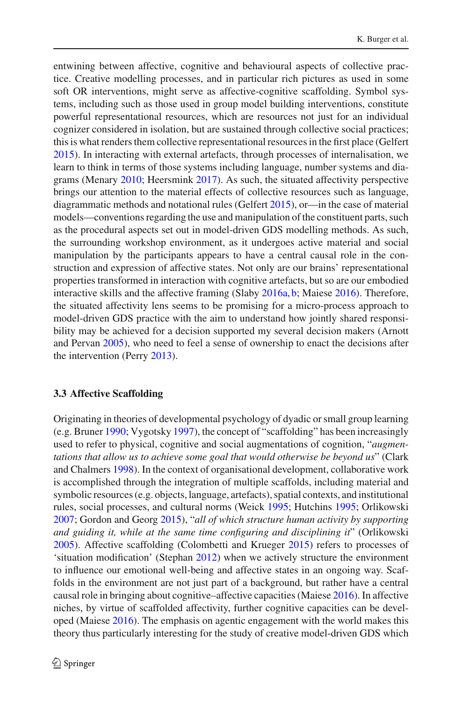entwining between affective, cognitive and behavioural aspects of collective practice. Creative modelling processes, and in particular rich pictures as used in some soft OR interventions, might serve as affective-cognitive scaffolding. Symbol systems, including such as those used in group model building interventions, constitute powerful representational resources, which are resources not just for an individual cognizer considered in isolation, but are sustained through collective social practices; this is what renders them collective representational resources in the first place (Gelfer[t](#page-18-15) [2015\)](#page-18-15). In interacting with external artefacts, through processes of internalisation, we learn to think in terms of those systems including language, number systems and diagrams (Menar[y](#page-19-14) [2010;](#page-19-14) Heersmin[k](#page-18-16) [2017](#page-18-16)). As such, the situated affectivity perspective brings our attention to the material effects of collective resources such as language, diagrammatic methods and notational rules (Gelfer[t](#page-18-15) [2015](#page-18-15)), or—in the case of material models—conventions regarding the use and manipulation of the constituent parts, such as the procedural aspects set out in model-driven GDS modelling methods. As such, the surrounding workshop environment, as it undergoes active material and social manipulation by the participants appears to have a central causal role in the construction and expression of affective states. Not only are our brains' representational properties transformed in interaction with cognitive artefacts, but so are our embodied interactive skills and the affective framing (Slab[y](#page-20-8) [2016a,](#page-20-8) [b;](#page-20-9) Maies[e](#page-19-7) [2016](#page-19-7)). Therefore, the situated affectivity lens seems to be promising for a micro-process approach to model-driven GDS practice with the aim to understand how jointly shared responsibility may be achieved for a decision supported my several decision makers (Arnott and Perva[n](#page-17-14) [2005\)](#page-17-14), who need to feel a sense of ownership to enact the decisions after the intervention (Perr[y](#page-19-15) [2013](#page-19-15)).

#### <span id="page-7-0"></span>**3.3 Affective Scaffolding**

Originating in theories of developmental psychology of dyadic or small group learning (e.g. Brune[r](#page-17-15) [1990;](#page-17-15) Vygotsk[y](#page-20-23) [1997](#page-20-23)), the concept of "scaffolding" has been increasingly used to refer to physical, cognitive and social augmentations of cognition, "*augmentations that allow us to achieve some goal that would otherwise be beyond us*" (Clark and Chalmer[s](#page-17-16) [1998](#page-17-16)). In the context of organisational development, collaborative work is accomplished through the integration of multiple scaffolds, including material and symbolic resources (e.g. objects, language, artefacts), spatial contexts, and institutional rules, social processes, and cultural norms (Weic[k](#page-20-24) [1995;](#page-20-24) Hutchin[s](#page-18-17) [1995](#page-18-17); Orlikowsk[i](#page-19-16) [2007;](#page-19-16) Gordon and Geor[g](#page-18-18) [2015](#page-18-18)), "*all of which structure human activity by supporting and guiding it, while at the same time configuring and disciplining it*" (Orlikowsk[i](#page-19-17) [2005\)](#page-19-17). Affective scaffolding (Colombetti and Kruege[r](#page-17-7) [2015\)](#page-17-7) refers to processes of 'situation modification' (Stepha[n](#page-20-25) [2012](#page-20-25)) when we actively structure the environment to influence our emotional well-being and affective states in an ongoing way. Scaffolds in the environment are not just part of a background, but rather have a central causal role in bringing about cognitive–affective capacities (Maies[e](#page-19-7) [2016](#page-19-7)). In affective niches, by virtue of scaffolded affectivity, further cognitive capacities can be developed (Maies[e](#page-19-7) [2016\)](#page-19-7). The emphasis on agentic engagement with the world makes this theory thus particularly interesting for the study of creative model-driven GDS which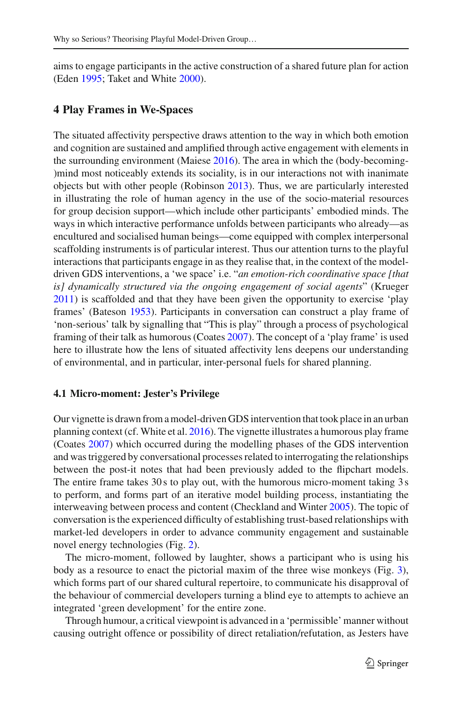aims to engage participants in the active construction of a shared future plan for action (Ede[n](#page-18-2) [1995;](#page-18-2) Taket and Whit[e](#page-20-0) [2000](#page-20-0)).

#### **4 Play Frames in We-Spaces**

The situated affectivity perspective draws attention to the way in which both emotion and cognition are sustained and amplified through active engagement with elements in the surrounding environment (Maies[e](#page-19-7) [2016](#page-19-7)). The area in which the (body-becoming- )mind most noticeably extends its sociality, is in our interactions not with inanimate objects but with other people (Robinso[n](#page-19-18) [2013](#page-19-18)). Thus, we are particularly interested in illustrating the role of human agency in the use of the socio-material resources for group decision support—which include other participants' embodied minds. The ways in which interactive performance unfolds between participants who already—as encultured and socialised human beings—come equipped with complex interpersonal scaffolding instruments is of particular interest. Thus our attention turns to the playful interactions that participants engage in as they realise that, in the context of the modeldriven GDS interventions, a 'we space' i.e. "*an emotion-rich coordinative space [that is] dynamically structured via the ongoing engagement of social agents*" (Kruege[r](#page-19-19) [2011\)](#page-19-19) is scaffolded and that they have been given the opportunity to exercise 'play frames' (Bateso[n](#page-17-17) [1953](#page-17-17)). Participants in conversation can construct a play frame of 'non-serious' talk by signalling that "This is play" through a process of psychological framing of their talk as humorous (Coate[s](#page-17-18) [2007\)](#page-17-18). The concept of a 'play frame' is used here to illustrate how the lens of situated affectivity lens deepens our understanding of environmental, and in particular, inter-personal fuels for shared planning.

#### **4.1 Micro-moment: Jester's Privilege**

Our vignette is drawn from a model-driven GDS intervention that took place in an urban planning context (cf. White et al[.](#page-20-16) [2016\)](#page-20-16). The vignette illustrates a humorous play frame (Coate[s](#page-17-18) [2007\)](#page-17-18) which occurred during the modelling phases of the GDS intervention and was triggered by conversational processes related to interrogating the relationships between the post-it notes that had been previously added to the flipchart models. The entire frame takes 30s to play out, with the humorous micro-moment taking 3s to perform, and forms part of an iterative model building process, instantiating the interweaving between process and content (Checkland and Winte[r](#page-17-19) [2005\)](#page-17-19). The topic of conversation is the experienced difficulty of establishing trust-based relationships with market-led developers in order to advance community engagement and sustainable novel energy technologies (Fig. [2\)](#page-9-0).

The micro-moment, followed by laughter, shows a participant who is using his body as a resource to enact the pictorial maxim of the three wise monkeys (Fig. [3\)](#page-9-1), which forms part of our shared cultural repertoire, to communicate his disapproval of the behaviour of commercial developers turning a blind eye to attempts to achieve an integrated 'green development' for the entire zone.

Through humour, a critical viewpoint is advanced in a 'permissible' manner without causing outright offence or possibility of direct retaliation/refutation, as Jesters have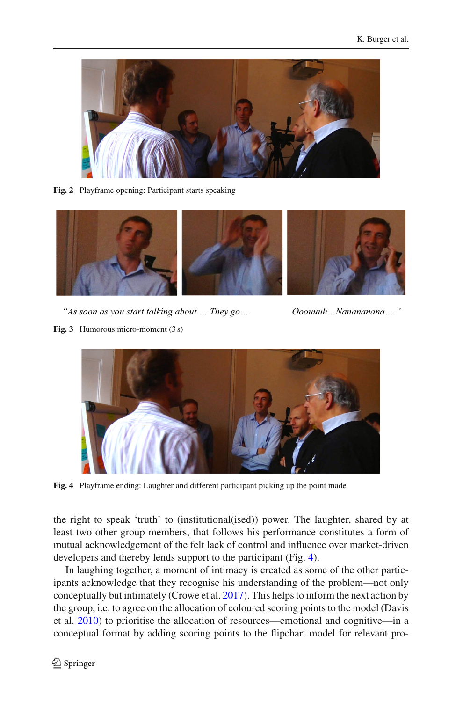

**Fig. 2** Playframe opening: Participant starts speaking

<span id="page-9-0"></span>

*"As soon as you start talking about … They go… Ooouuuh…Nanananana…."*

Ooouuuh...Nanananana...."



<span id="page-9-1"></span>

**Fig. 4** Playframe ending: Laughter and different participant picking up the point made

<span id="page-9-2"></span>the right to speak 'truth' to (institutional(ised)) power. The laughter, shared by at least two other group members, that follows his performance constitutes a form of mutual acknowledgement of the felt lack of control and influence over market-driven developers and thereby lends support to the participant (Fig. [4\)](#page-9-2).

In laughing together, a moment of intimacy is created as some of the other participants acknowledge that they recognise his understanding of the problem—not only conceptually but intimately (Crowe et al[.](#page-17-20) [2017](#page-17-20)). This helps to inform the next action by the group, i.e. to agree on the allocation of coloured scoring points to the model (Davis et al[.](#page-18-19) [2010\)](#page-18-19) to prioritise the allocation of resources—emotional and cognitive—in a conceptual format by adding scoring points to the flipchart model for relevant pro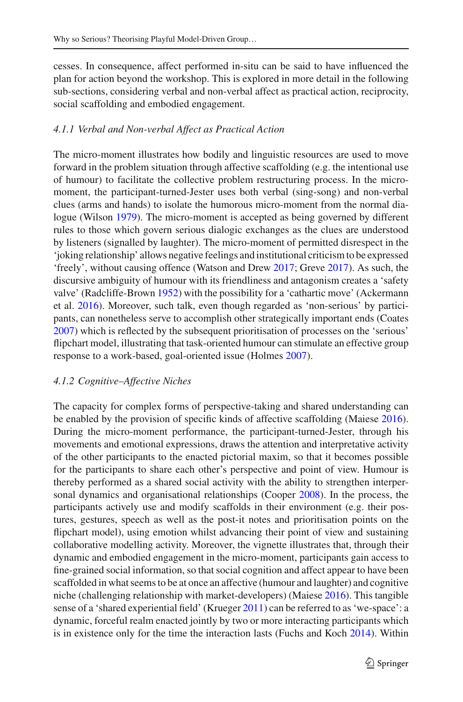cesses. In consequence, affect performed in-situ can be said to have influenced the plan for action beyond the workshop. This is explored in more detail in the following sub-sections, considering verbal and non-verbal affect as practical action, reciprocity, social scaffolding and embodied engagement.

## *4.1.1 Verbal and Non-verbal Affect as Practical Action*

The micro-moment illustrates how bodily and linguistic resources are used to move forward in the problem situation through affective scaffolding (e.g. the intentional use of humour) to facilitate the collective problem restructuring process. In the micromoment, the participant-turned-Jester uses both verbal (sing-song) and non-verbal clues (arms and hands) to isolate the humorous micro-moment from the normal dialogue (Wilso[n](#page-20-26) [1979\)](#page-20-26). The micro-moment is accepted as being governed by different rules to those which govern serious dialogic exchanges as the clues are understood by listeners (signalled by laughter). The micro-moment of permitted disrespect in the 'joking relationship' allows negative feelings and institutional criticism to be expressed 'freely', without causing offence (Watson and Dre[w](#page-20-27) [2017;](#page-20-27) Grev[e](#page-18-20) [2017](#page-18-20)). As such, the discursive ambiguity of humour with its friendliness and antagonism creates a 'safety valve' (Radcliffe-Brow[n](#page-19-20) [1952](#page-19-20)) with the possibility for a 'cathartic move' (Ackermann et al[.](#page-17-3) [2016\)](#page-17-3). Moreover, such talk, even though regarded as 'non-serious' by participants, can nonetheless serve to accomplish other strategically important ends (Coate[s](#page-17-18) [2007\)](#page-17-18) which is reflected by the subsequent prioritisation of processes on the 'serious' flipchart model, illustrating that task-oriented humour can stimulate an effective group response to a work-based, goal-oriented issue (Holme[s](#page-18-21) [2007](#page-18-21)).

#### *4.1.2 Cognitive–Affective Niches*

The capacity for complex forms of perspective-taking and shared understanding can be enabled by the provision of specific kinds of affective scaffolding (Maies[e](#page-19-7) [2016](#page-19-7)). During the micro-moment performance, the participant-turned-Jester, through his movements and emotional expressions, draws the attention and interpretative activity of the other participants to the enacted pictorial maxim, so that it becomes possible for the participants to share each other's perspective and point of view. Humour is thereby performed as a shared social activity with the ability to strengthen interpersonal dynamics and organisational relationships (Coope[r](#page-17-21) [2008\)](#page-17-21). In the process, the participants actively use and modify scaffolds in their environment (e.g. their postures, gestures, speech as well as the post-it notes and prioritisation points on the flipchart model), using emotion whilst advancing their point of view and sustaining collaborative modelling activity. Moreover, the vignette illustrates that, through their dynamic and embodied engagement in the micro-moment, participants gain access to fine-grained social information, so that social cognition and affect appear to have been scaffolded in what seems to be at once an affective (humour and laughter) and cognitive niche (challenging relationship with market-developers) (Maies[e](#page-19-7) [2016](#page-19-7)). This tangible sense of a 'sha[r](#page-19-19)ed experiential field' (Krueger [2011\)](#page-19-19) can be referred to as 'we-space': a dynamic, forceful realm enacted jointly by two or more interacting participants which is in existence only for the time the interaction lasts (Fuchs and Koc[h](#page-18-13) [2014](#page-18-13)). Within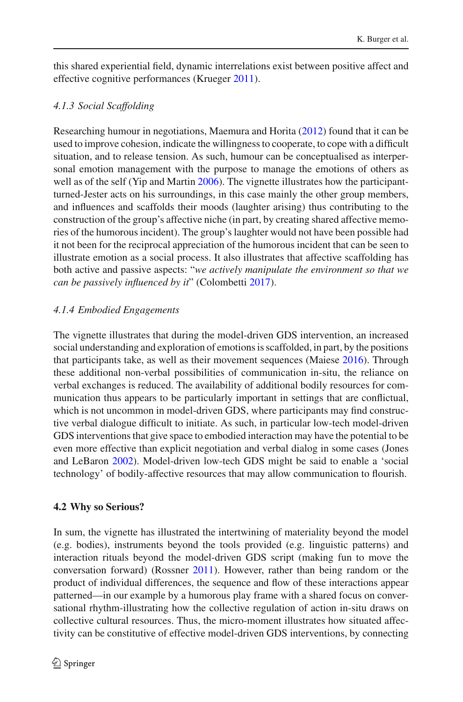this shared experiential field, dynamic interrelations exist between positive affect and effective cognitive performances (Kruege[r](#page-19-19) [2011\)](#page-19-19).

## *4.1.3 Social Scaffolding*

Researching humour in negotiations, Maemura and Horit[a](#page-19-21) [\(2012\)](#page-19-21) found that it can be used to improve cohesion, indicate the willingness to cooperate, to cope with a difficult situation, and to release tension. As such, humour can be conceptualised as interpersonal emotion management with the purpose to manage the emotions of others as well as of the self (Yip a[n](#page-21-1)d Martin [2006\)](#page-21-1). The vignette illustrates how the participantturned-Jester acts on his surroundings, in this case mainly the other group members, and influences and scaffolds their moods (laughter arising) thus contributing to the construction of the group's affective niche (in part, by creating shared affective memories of the humorous incident). The group's laughter would not have been possible had it not been for the reciprocal appreciation of the humorous incident that can be seen to illustrate emotion as a social process. It also illustrates that affective scaffolding has both active and passive aspects: "*we actively manipulate the environment so that we can be passively influenced by it*" (Colombett[i](#page-17-8) [2017\)](#page-17-8).

## *4.1.4 Embodied Engagements*

The vignette illustrates that during the model-driven GDS intervention, an increased social understanding and exploration of emotions is scaffolded, in part, by the positions that participants take, as well as their movement sequences (Maies[e](#page-19-7) [2016](#page-19-7)). Through these additional non-verbal possibilities of communication in-situ, the reliance on verbal exchanges is reduced. The availability of additional bodily resources for communication thus appears to be particularly important in settings that are conflictual, which is not uncommon in model-driven GDS, where participants may find constructive verbal dialogue difficult to initiate. As such, in particular low-tech model-driven GDS interventions that give space to embodied interaction may have the potential to be even more effective than explicit negotiation and verbal dialog in some cases (Jones and LeBaro[n](#page-18-22) [2002\)](#page-18-22). Model-driven low-tech GDS might be said to enable a 'social technology' of bodily-affective resources that may allow communication to flourish.

#### **4.2 Why so Serious?**

In sum, the vignette has illustrated the intertwining of materiality beyond the model (e.g. bodies), instruments beyond the tools provided (e.g. linguistic patterns) and interaction rituals beyond the model-driven GDS script (making fun to move the conversation forward) (Rossne[r](#page-19-22) [2011](#page-19-22)). However, rather than being random or the product of individual differences, the sequence and flow of these interactions appear patterned—in our example by a humorous play frame with a shared focus on conversational rhythm-illustrating how the collective regulation of action in-situ draws on collective cultural resources. Thus, the micro-moment illustrates how situated affectivity can be constitutive of effective model-driven GDS interventions, by connecting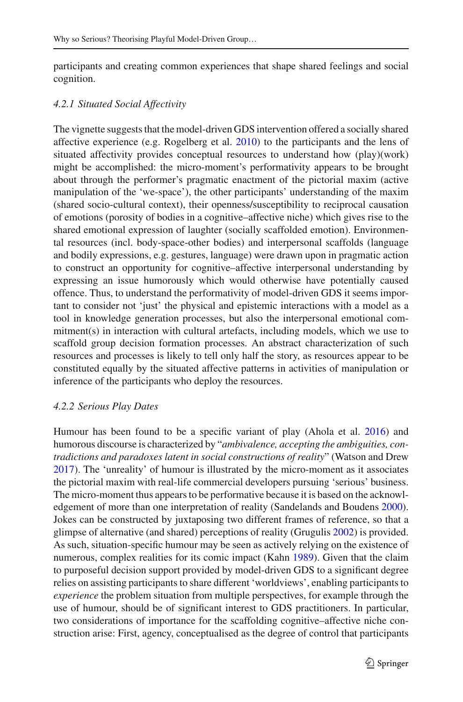participants and creating common experiences that shape shared feelings and social cognition.

#### *4.2.1 Situated Social Affectivity*

The vignette suggests that the model-driven GDS intervention offered a socially shared affective experience (e.g. Rogelberg et al[.](#page-19-23) [2010\)](#page-19-23) to the participants and the lens of situated affectivity provides conceptual resources to understand how (play)(work) might be accomplished: the micro-moment's performativity appears to be brought about through the performer's pragmatic enactment of the pictorial maxim (active manipulation of the 'we-space'), the other participants' understanding of the maxim (shared socio-cultural context), their openness/susceptibility to reciprocal causation of emotions (porosity of bodies in a cognitive–affective niche) which gives rise to the shared emotional expression of laughter (socially scaffolded emotion). Environmental resources (incl. body-space-other bodies) and interpersonal scaffolds (language and bodily expressions, e.g. gestures, language) were drawn upon in pragmatic action to construct an opportunity for cognitive–affective interpersonal understanding by expressing an issue humorously which would otherwise have potentially caused offence. Thus, to understand the performativity of model-driven GDS it seems important to consider not 'just' the physical and epistemic interactions with a model as a tool in knowledge generation processes, but also the interpersonal emotional commitment(s) in interaction with cultural artefacts, including models, which we use to scaffold group decision formation processes. An abstract characterization of such resources and processes is likely to tell only half the story, as resources appear to be constituted equally by the situated affective patterns in activities of manipulation or inference of the participants who deploy the resources.

#### *4.2.2 Serious Play Dates*

Humour has been found to be a specific variant of play (Ahola et al[.](#page-17-0) [2016](#page-17-0)) and humorous discourse is characterized by "*ambivalence, accepting the ambiguities, contradictions and paradoxes latent in social constructions of reality*" (Watson and Dre[w](#page-20-27) [2017\)](#page-20-27). The 'unreality' of humour is illustrated by the micro-moment as it associates the pictorial maxim with real-life commercial developers pursuing 'serious' business. The micro-moment thus appears to be performative because it is based on the acknowledgement of more than one interpretation of reality (Sandelands and Bouden[s](#page-19-24) [2000](#page-19-24)). Jokes can be constructed by juxtaposing two different frames of reference, so that a glimpse of alternative (and shared) perceptions of reality (Gruguli[s](#page-18-23) [2002](#page-18-23)) is provided. As such, situation-specific humour may be seen as actively relying on the existence of numerous, complex realities for its comic impact (Kah[n](#page-18-24) [1989\)](#page-18-24). Given that the claim to purposeful decision support provided by model-driven GDS to a significant degree relies on assisting participants to share different 'worldviews', enabling participants to *experience* the problem situation from multiple perspectives, for example through the use of humour, should be of significant interest to GDS practitioners. In particular, two considerations of importance for the scaffolding cognitive–affective niche construction arise: First, agency, conceptualised as the degree of control that participants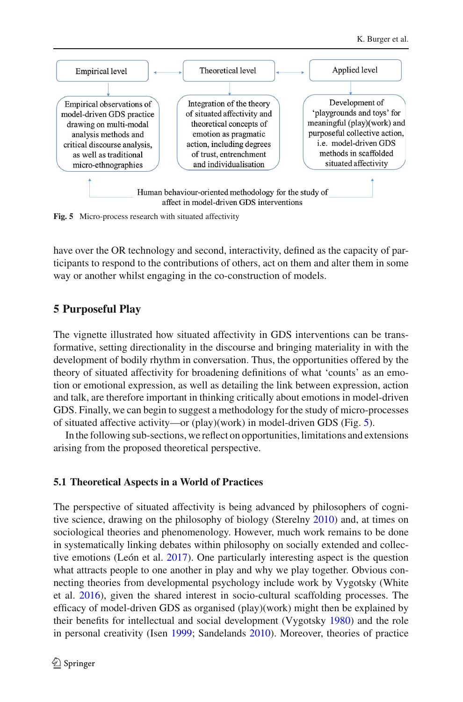

<span id="page-13-0"></span>**Fig. 5** Micro-process research with situated affectivity

have over the OR technology and second, interactivity, defined as the capacity of participants to respond to the contributions of others, act on them and alter them in some way or another whilst engaging in the co-construction of models.

## **5 Purposeful Play**

The vignette illustrated how situated affectivity in GDS interventions can be transformative, setting directionality in the discourse and bringing materiality in with the development of bodily rhythm in conversation. Thus, the opportunities offered by the theory of situated affectivity for broadening definitions of what 'counts' as an emotion or emotional expression, as well as detailing the link between expression, action and talk, are therefore important in thinking critically about emotions in model-driven GDS. Finally, we can begin to suggest a methodology for the study of micro-processes of situated affective activity—or (play)(work) in model-driven GDS (Fig. [5\)](#page-13-0).

In the following sub-sections, we reflect on opportunities, limitations and extensions arising from the proposed theoretical perspective.

## **5.1 Theoretical Aspects in a World of Practices**

The perspective of situated affectivity is being advanced by philosophers of cognitive science, drawing on the philosophy of biology (Stereln[y](#page-20-21) [2010](#page-20-21)) and, at times on sociological theories and phenomenology. However, much work remains to be done in systematically linking debates within philosophy on socially extended and collective emotions (León et al[.](#page-19-25) [2017](#page-19-25)). One particularly interesting aspect is the question what attracts people to one another in play and why we play together. Obvious connecting theories from developmental psychology include work by Vygotsky (White et al[.](#page-20-16) [2016](#page-20-16)), given the shared interest in socio-cultural scaffolding processes. The efficacy of model-driven GDS as organised (play)(work) might then be explained by their benefits for intellectual and social development (Vygotsk[y](#page-20-28) [1980\)](#page-20-28) and the role in personal creativity (Ise[n](#page-18-25) [1999](#page-18-25); Sandeland[s](#page-19-0) [2010\)](#page-19-0). Moreover, theories of practice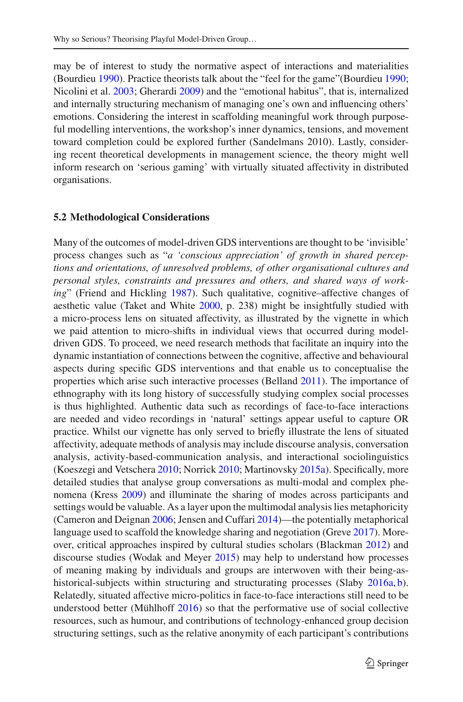may be of interest to study the normative aspect of interactions and materialities (Bourdie[u](#page-17-22) [1990](#page-17-22)). Practice theorists talk about the "feel for the game"(Bourdie[u](#page-17-22) [1990](#page-17-22); Nicolini et al[.](#page-19-26) [2003](#page-19-26); Gherard[i](#page-18-26) [2009](#page-18-26)) and the "emotional habitus", that is, internalized and internally structuring mechanism of managing one's own and influencing others' emotions. Considering the interest in scaffolding meaningful work through purposeful modelling interventions, the workshop's inner dynamics, tensions, and movement toward completion could be explored further (Sandelmans 2010). Lastly, considering recent theoretical developments in management science, the theory might well inform research on 'serious gaming' with virtually situated affectivity in distributed organisations.

#### **5.2 Methodological Considerations**

Many of the outcomes of model-driven GDS interventions are thought to be 'invisible' process changes such as "*a 'conscious appreciation' of growth in shared perceptions and orientations, of unresolved problems, of other organisational cultures and personal styles, constraints and pressures and others, and shared ways of working*" (Friend and Hicklin[g](#page-18-27) [1987](#page-18-27)). Such qualitative, cognitive–affective changes of aesthetic value (Taket and Whit[e](#page-20-0) [2000](#page-20-0), p. 238) might be insightfully studied with a micro-process lens on situated affectivity, as illustrated by the vignette in which we paid attention to micro-shifts in individual views that occurred during modeldriven GDS. To proceed, we need research methods that facilitate an inquiry into the dynamic instantiation of connections between the cognitive, affective and behavioural aspects during specific GDS interventions and that enable us to conceptualise the properties which arise such interactive processes (Bellan[d](#page-17-23) [2011](#page-17-23)). The importance of ethnography with its long history of successfully studying complex social processes is thus highlighted. Authentic data such as recordings of face-to-face interactions are needed and video recordings in 'natural' settings appear useful to capture OR practice. Whilst our vignette has only served to briefly illustrate the lens of situated affectivity, adequate methods of analysis may include discourse analysis, conversation analysis, activity-based-communication analysis, and interactional sociolinguistics (Koeszegi and Vetscher[a](#page-19-27) [2010;](#page-19-27) Norric[k](#page-19-28) [2010](#page-19-28); Martinovsk[y](#page-19-6) [2015a\)](#page-19-6). Specifically, more detailed studies that analyse group conversations as multi-modal and complex phenomena (Kres[s](#page-19-29) [2009](#page-19-29)) and illuminate the sharing of modes across participants and settings would be valuable. As a layer upon the multimodal analysis lies metaphoricity (Cameron and Deigna[n](#page-17-24) [2006](#page-17-24); Jensen and Cuffar[i](#page-18-28) [2014](#page-18-28))—the potentially metaphorical language used to scaffold the knowledge sharing and negotiation (Grev[e](#page-18-20) [2017](#page-18-20)). Moreover, critical approaches inspired by cultural studies scholars (Blackma[n](#page-17-9) [2012](#page-17-9)) and discourse studies (Wodak and Meye[r](#page-21-2) [2015](#page-21-2)) may help to understand how processes of meaning making by individuals and groups are interwoven with their being-ashistorical-subjects within structuring and structurating processes (Slab[y](#page-20-8) [2016a](#page-20-8), [b](#page-20-9)). Relatedly, situated affective micro-politics in face-to-face interactions still need to be understood better (Mühlhof[f](#page-19-30) [2016\)](#page-19-30) so that the performative use of social collective resources, such as humour, and contributions of technology-enhanced group decision structuring settings, such as the relative anonymity of each participant's contributions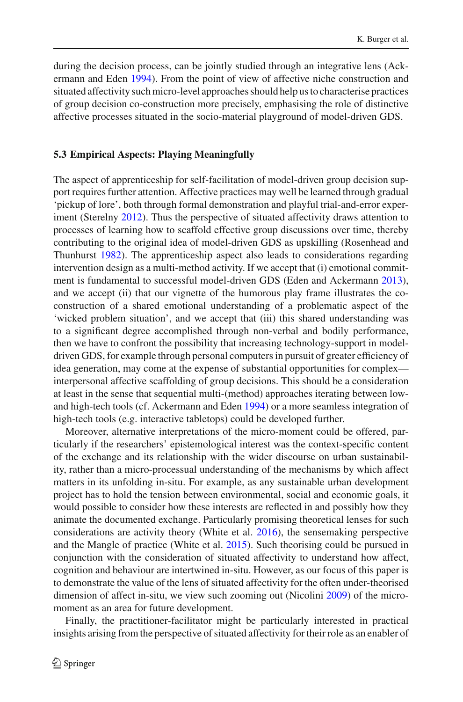during the decision process, can be jointly studied through an integrative lens (Ackermann and Ede[n](#page-17-25) [1994](#page-17-25)). From the point of view of affective niche construction and situated affectivity such micro-level approaches should help us to characterise practices of group decision co-construction more precisely, emphasising the role of distinctive affective processes situated in the socio-material playground of model-driven GDS.

#### **5.3 Empirical Aspects: Playing Meaningfully**

The aspect of apprenticeship for self-facilitation of model-driven group decision support requires further attention. Affective practices may well be learned through gradual 'pickup of lore', both through formal demonstration and playful trial-and-error experiment (Stereln[y](#page-20-29) [2012](#page-20-29)). Thus the perspective of situated affectivity draws attention to processes of learning how to scaffold effective group discussions over time, thereby contributing to the original idea of model-driven GDS as upskilling (Rosenhead and Thunhurs[t](#page-19-31) [1982](#page-19-31)). The apprenticeship aspect also leads to considerations regarding intervention design as a multi-method activity. If we accept that (i) emotional commitment is fundamental to successful model-driven GDS (Eden and Ackerman[n](#page-18-29) [2013](#page-18-29)), and we accept (ii) that our vignette of the humorous play frame illustrates the coconstruction of a shared emotional understanding of a problematic aspect of the 'wicked problem situation', and we accept that (iii) this shared understanding was to a significant degree accomplished through non-verbal and bodily performance, then we have to confront the possibility that increasing technology-support in modeldriven GDS, for example through personal computers in pursuit of greater efficiency of idea generation, may come at the expense of substantial opportunities for complex interpersonal affective scaffolding of group decisions. This should be a consideration at least in the sense that sequential multi-(method) approaches iterating between lowand high-tech tools (cf. Ackermann and Ede[n](#page-17-25) [1994\)](#page-17-25) or a more seamless integration of high-tech tools (e.g. interactive tabletops) could be developed further.

Moreover, alternative interpretations of the micro-moment could be offered, particularly if the researchers' epistemological interest was the context-specific content of the exchange and its relationship with the wider discourse on urban sustainability, rather than a micro-processual understanding of the mechanisms by which affect matters in its unfolding in-situ. For example, as any sustainable urban development project has to hold the tension between environmental, social and economic goals, it would possible to consider how these interests are reflected in and possibly how they animate the documented exchange. Particularly promising theoretical lenses for such considerations are activity theory (White et al[.](#page-20-16) [2016\)](#page-20-16), the sensemaking perspective and the Mangle of practice (White et al[.](#page-20-30) [2015\)](#page-20-30). Such theorising could be pursued in conjunction with the consideration of situated affectivity to understand how affect, cognition and behaviour are intertwined in-situ. However, as our focus of this paper is to demonstrate the value of the lens of situated affectivity for the often under-theorised dimension of affect in-situ, we view such zooming out (Nicolin[i](#page-19-32) [2009\)](#page-19-32) of the micromoment as an area for future development.

Finally, the practitioner-facilitator might be particularly interested in practical insights arising from the perspective of situated affectivity for their role as an enabler of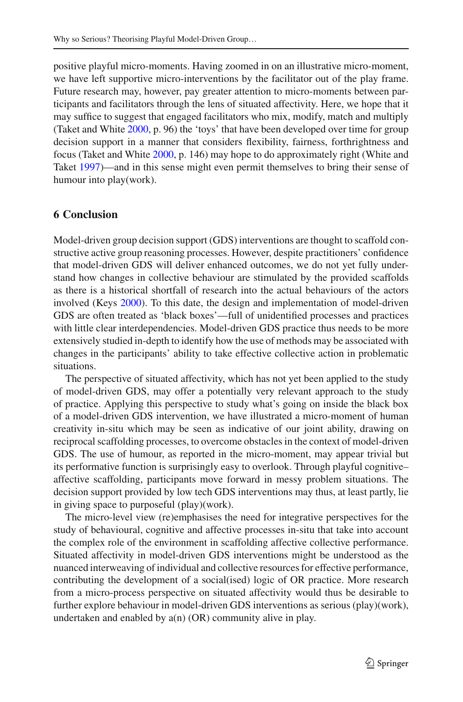positive playful micro-moments. Having zoomed in on an illustrative micro-moment, we have left supportive micro-interventions by the facilitator out of the play frame. Future research may, however, pay greater attention to micro-moments between participants and facilitators through the lens of situated affectivity. Here, we hope that it may suffice to suggest that engaged facilitators who mix, modify, match and multiply (Taket and Whit[e](#page-20-0) [2000,](#page-20-0) p. 96) the 'toys' that have been developed over time for group decision support in a manner that considers flexibility, fairness, forthrightness and focus (Taket and Whit[e](#page-20-0) [2000,](#page-20-0) p. 146) may hope to do approximately right (White and Take[t](#page-20-31) [1997](#page-20-31))—and in this sense might even permit themselves to bring their sense of humour into play(work).

## **6 Conclusion**

Model-driven group decision support (GDS) interventions are thought to scaffold constructive active group reasoning processes. However, despite practitioners' confidence that model-driven GDS will deliver enhanced outcomes, we do not yet fully understand how changes in collective behaviour are stimulated by the provided scaffolds as there is a historical shortfall of research into the actual behaviours of the actors involved (Key[s](#page-18-30) [2000](#page-18-30)). To this date, the design and implementation of model-driven GDS are often treated as 'black boxes'—full of unidentified processes and practices with little clear interdependencies. Model-driven GDS practice thus needs to be more extensively studied in-depth to identify how the use of methods may be associated with changes in the participants' ability to take effective collective action in problematic situations.

The perspective of situated affectivity, which has not yet been applied to the study of model-driven GDS, may offer a potentially very relevant approach to the study of practice. Applying this perspective to study what's going on inside the black box of a model-driven GDS intervention, we have illustrated a micro-moment of human creativity in-situ which may be seen as indicative of our joint ability, drawing on reciprocal scaffolding processes, to overcome obstacles in the context of model-driven GDS. The use of humour, as reported in the micro-moment, may appear trivial but its performative function is surprisingly easy to overlook. Through playful cognitive– affective scaffolding, participants move forward in messy problem situations. The decision support provided by low tech GDS interventions may thus, at least partly, lie in giving space to purposeful (play)(work).

The micro-level view (re)emphasises the need for integrative perspectives for the study of behavioural, cognitive and affective processes in-situ that take into account the complex role of the environment in scaffolding affective collective performance. Situated affectivity in model-driven GDS interventions might be understood as the nuanced interweaving of individual and collective resources for effective performance, contributing the development of a social(ised) logic of OR practice. More research from a micro-process perspective on situated affectivity would thus be desirable to further explore behaviour in model-driven GDS interventions as serious (play)(work), undertaken and enabled by a(n) (OR) community alive in play.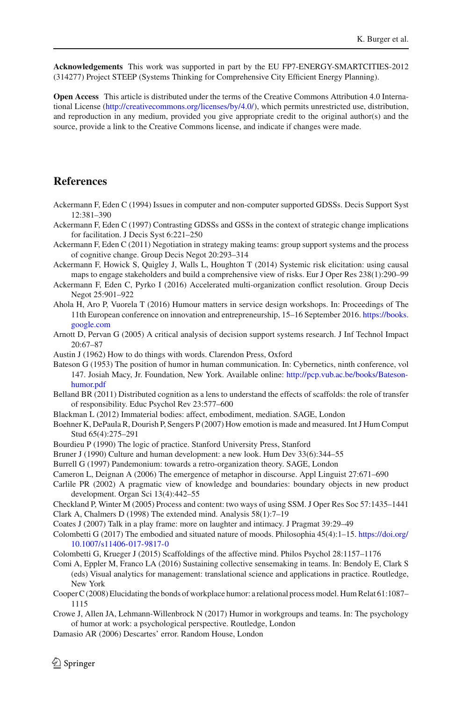**Acknowledgements** This work was supported in part by the EU FP7-ENERGY-SMARTCITIES-2012 (314277) Project STEEP (Systems Thinking for Comprehensive City Efficient Energy Planning).

**Open Access** This article is distributed under the terms of the Creative Commons Attribution 4.0 International License [\(http://creativecommons.org/licenses/by/4.0/\)](http://creativecommons.org/licenses/by/4.0/), which permits unrestricted use, distribution, and reproduction in any medium, provided you give appropriate credit to the original author(s) and the source, provide a link to the Creative Commons license, and indicate if changes were made.

#### **References**

- <span id="page-17-25"></span>Ackermann F, Eden C (1994) Issues in computer and non-computer supported GDSSs. Decis Support Syst 12:381–390
- <span id="page-17-2"></span>Ackermann F, Eden C (1997) Contrasting GDSSs and GSSs in the context of strategic change implications for facilitation. J Decis Syst 6:221–250
- <span id="page-17-11"></span>Ackermann F, Eden C (2011) Negotiation in strategy making teams: group support systems and the process of cognitive change. Group Decis Negot 20:293–314
- <span id="page-17-4"></span>Ackermann F, Howick S, Quigley J, Walls L, Houghton T (2014) Systemic risk elicitation: using causal maps to engage stakeholders and build a comprehensive view of risks. Eur J Oper Res 238(1):290–99
- <span id="page-17-3"></span>Ackermann F, Eden C, Pyrko I (2016) Accelerated multi-organization conflict resolution. Group Decis Negot 25:901–922
- <span id="page-17-0"></span>Ahola H, Aro P, Vuorela T (2016) Humour matters in service design workshops. In: Proceedings of The 11th European conference on innovation and entrepreneurship, 15–16 September 2016. [https://books.](https://books.google.com) [google.com](https://books.google.com)
- <span id="page-17-14"></span>Arnott D, Pervan G (2005) A critical analysis of decision support systems research. J Inf Technol Impact 20:67–87
- <span id="page-17-5"></span>Austin J (1962) How to do things with words. Clarendon Press, Oxford
- <span id="page-17-17"></span>Bateson G (1953) The position of humor in human communication. In: Cybernetics, ninth conference, vol 147. Josiah Macy, Jr. Foundation, New York. Available online: [http://pcp.vub.ac.be/books/Bateson](http://pcp.vub.ac.be/books/Bateson-humor.pdf)[humor.pdf](http://pcp.vub.ac.be/books/Bateson-humor.pdf)
- <span id="page-17-23"></span>Belland BR (2011) Distributed cognition as a lens to understand the effects of scaffolds: the role of transfer of responsibility. Educ Psychol Rev 23:577–600
- <span id="page-17-9"></span>Blackman L (2012) Immaterial bodies: affect, embodiment, mediation. SAGE, London
- <span id="page-17-13"></span>Boehner K, DePaula R, Dourish P, Sengers P (2007) How emotion is made and measured. Int J Hum Comput Stud 65(4):275–291
- <span id="page-17-22"></span>Bourdieu P (1990) The logic of practice. Stanford University Press, Stanford
- <span id="page-17-15"></span>Bruner J (1990) Culture and human development: a new look. Hum Dev 33(6):344–55
- <span id="page-17-1"></span>Burrell G (1997) Pandemonium: towards a retro-organization theory. SAGE, London
- <span id="page-17-24"></span>Cameron L, Deignan A (2006) The emergence of metaphor in discourse. Appl Linguist 27:671–690
- <span id="page-17-6"></span>Carlile PR (2002) A pragmatic view of knowledge and boundaries: boundary objects in new product development. Organ Sci 13(4):442–55
- <span id="page-17-19"></span>Checkland P, Winter M (2005) Process and content: two ways of using SSM. J Oper Res Soc 57:1435–1441 Clark A, Chalmers D (1998) The extended mind. Analysis 58(1):7–19
- <span id="page-17-18"></span><span id="page-17-16"></span>Coates J (2007) Talk in a play frame: more on laughter and intimacy. J Pragmat 39:29–49
- <span id="page-17-8"></span>Colombetti G (2017) The embodied and situated nature of moods. Philosophia 45(4):1–15. [https://doi.org/](https://doi.org/10.1007/s11406-017-9817-0) [10.1007/s11406-017-9817-0](https://doi.org/10.1007/s11406-017-9817-0)
- <span id="page-17-7"></span>Colombetti G, Krueger J (2015) Scaffoldings of the affective mind. Philos Psychol 28:1157–1176
- <span id="page-17-12"></span>Comi A, Eppler M, Franco LA (2016) Sustaining collective sensemaking in teams. In: Bendoly E, Clark S (eds) Visual analytics for management: translational science and applications in practice. Routledge, New York
- <span id="page-17-21"></span>Cooper C (2008) Elucidating the bonds of workplace humor: a relational process model. Hum Relat 61:1087– 1115
- <span id="page-17-20"></span>Crowe J, Allen JA, Lehmann-Willenbrock N (2017) Humor in workgroups and teams. In: The psychology of humor at work: a psychological perspective. Routledge, London
- <span id="page-17-10"></span>Damasio AR (2006) Descartes' error. Random House, London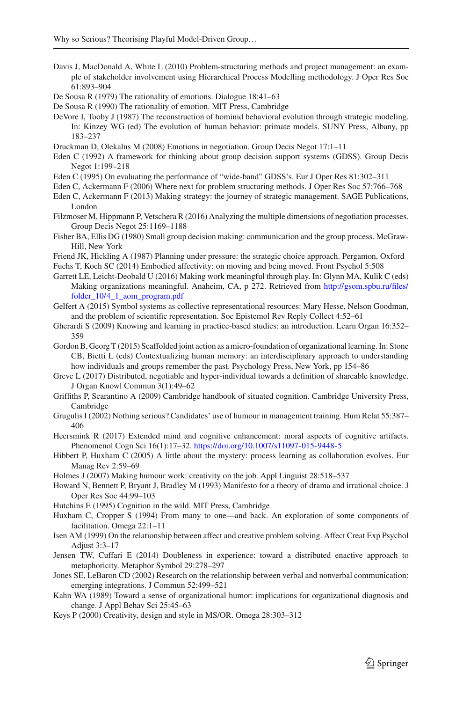- <span id="page-18-19"></span>Davis J, MacDonald A, White L (2010) Problem-structuring methods and project management: an example of stakeholder involvement using Hierarchical Process Modelling methodology. J Oper Res Soc 61:893–904
- <span id="page-18-5"></span>De Sousa R (1979) The rationality of emotions. Dialogue 18:41–63
- <span id="page-18-6"></span>De Sousa R (1990) The rationality of emotion. MIT Press, Cambridge
- <span id="page-18-14"></span>DeVore I, Tooby J (1987) The reconstruction of hominid behavioral evolution through strategic modeling. In: Kinzey WG (ed) The evolution of human behavior: primate models. SUNY Press, Albany, pp 183–237
- <span id="page-18-4"></span>Druckman D, Olekalns M (2008) Emotions in negotiation. Group Decis Negot 17:1–11
- <span id="page-18-1"></span>Eden C (1992) A framework for thinking about group decision support systems (GDSS). Group Decis Negot 1:199–218
- <span id="page-18-2"></span>Eden C (1995) On evaluating the performance of "wide-band" GDSS's. Eur J Oper Res 81:302–311
- <span id="page-18-3"></span>Eden C, Ackermann F (2006) Where next for problem structuring methods. J Oper Res Soc 57:766–768
- <span id="page-18-29"></span>Eden C, Ackermann F (2013) Making strategy: the journey of strategic management. SAGE Publications, London
- <span id="page-18-10"></span>Filzmoser M, Hippmann P, Vetschera R (2016) Analyzing the multiple dimensions of negotiation processes. Group Decis Negot 25:1169–1188
- <span id="page-18-9"></span>Fisher BA, Ellis DG (1980) Small group decision making: communication and the group process. McGraw-Hill, New York
- <span id="page-18-27"></span>Friend JK, Hickling A (1987) Planning under pressure: the strategic choice approach. Pergamon, Oxford
- <span id="page-18-13"></span>Fuchs T, Koch SC (2014) Embodied affectivity: on moving and being moved. Front Psychol 5:508
- <span id="page-18-0"></span>Garrett LE, Leicht-Deobald U (2016) Making work meaningful through play. In: Glynn MA, Kulik C (eds) Making organizations meaningful. Anaheim, CA, p 272. Retrieved from [http://gsom.spbu.ru/files/](http://gsom.spbu.ru/files/folder_10/4_1_aom_program.pdf) [folder\\_10/4\\_1\\_aom\\_program.pdf](http://gsom.spbu.ru/files/folder_10/4_1_aom_program.pdf)
- <span id="page-18-15"></span>Gelfert A (2015) Symbol systems as collective representational resources: Mary Hesse, Nelson Goodman, and the problem of scientific representation. Soc Epistemol Rev Reply Collect 4:52–61
- <span id="page-18-26"></span>Gherardi S (2009) Knowing and learning in practice-based studies: an introduction. Learn Organ 16:352– 359
- <span id="page-18-18"></span>Gordon B, Georg T (2015) Scaffolded joint action as a micro-foundation of organizational learning. In: Stone CB, Bietti L (eds) Contextualizing human memory: an interdisciplinary approach to understanding how individuals and groups remember the past. Psychology Press, New York, pp 154–86
- <span id="page-18-20"></span>Greve L (2017) Distributed, negotiable and hyper-individual towards a definition of shareable knowledge. J Organ Knowl Commun 3(1):49–62
- <span id="page-18-8"></span>Griffiths P, Scarantino A (2009) Cambridge handbook of situated cognition. Cambridge University Press, Cambridge
- <span id="page-18-23"></span>Grugulis I (2002) Nothing serious? Candidates' use of humour in management training. Hum Relat 55:387– 406
- <span id="page-18-16"></span>Heersmink R (2017) Extended mind and cognitive enhancement: moral aspects of cognitive artifacts. Phenomenol Cogn Sci 16(1):17–32. <https://doi.org/10.1007/s11097-015-9448-5>
- <span id="page-18-7"></span>Hibbert P, Huxham C (2005) A little about the mystery: process learning as collaboration evolves. Eur Manag Rev 2:59–69
- <span id="page-18-21"></span>Holmes J (2007) Making humour work: creativity on the job. Appl Linguist 28:518–537
- <span id="page-18-11"></span>Howard N, Bennett P, Bryant J, Bradley M (1993) Manifesto for a theory of drama and irrational choice. J Oper Res Soc 44:99–103
- <span id="page-18-17"></span>Hutchins E (1995) Cognition in the wild. MIT Press, Cambridge
- <span id="page-18-12"></span>Huxham C, Cropper S (1994) From many to one—and back. An exploration of some components of facilitation. Omega 22:1–11
- <span id="page-18-25"></span>Isen AM (1999) On the relationship between affect and creative problem solving. Affect Creat Exp Psychol Adjust 3:3–17
- <span id="page-18-28"></span>Jensen TW, Cuffari E (2014) Doubleness in experience: toward a distributed enactive approach to metaphoricity. Metaphor Symbol 29:278–297
- <span id="page-18-22"></span>Jones SE, LeBaron CD (2002) Research on the relationship between verbal and nonverbal communication: emerging integrations. J Commun 52:499–521
- <span id="page-18-24"></span>Kahn WA (1989) Toward a sense of organizational humor: implications for organizational diagnosis and change. J Appl Behav Sci 25:45–63
- <span id="page-18-30"></span>Keys P (2000) Creativity, design and style in MS/OR. Omega 28:303–312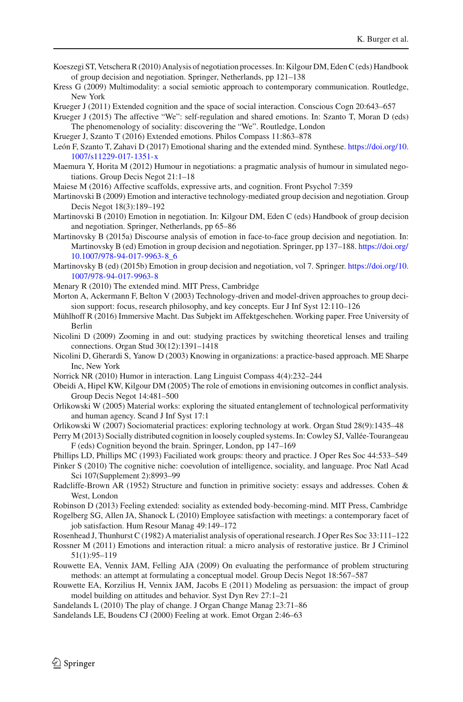- <span id="page-19-27"></span>Koeszegi ST, Vetschera R (2010) Analysis of negotiation processes. In: Kilgour DM, Eden C (eds) Handbook of group decision and negotiation. Springer, Netherlands, pp 121–138
- <span id="page-19-29"></span>Kress G (2009) Multimodality: a social semiotic approach to contemporary communication. Routledge, New York
- <span id="page-19-19"></span>Krueger J (2011) Extended cognition and the space of social interaction. Conscious Cogn 20:643–657
- <span id="page-19-12"></span>Krueger J (2015) The affective "We": self-regulation and shared emotions. In: Szanto T, Moran D (eds) The phenomenology of sociality: discovering the "We". Routledge, London
- <span id="page-19-11"></span>Krueger J, Szanto T (2016) Extended emotions. Philos Compass 11:863–878
- <span id="page-19-25"></span>León F, Szanto T, Zahavi D (2017) Emotional sharing and the extended mind. Synthese. [https://doi.org/10.](https://doi.org/10.1007/s11229-017-1351-x) [1007/s11229-017-1351-x](https://doi.org/10.1007/s11229-017-1351-x)
- <span id="page-19-21"></span>Maemura Y, Horita M (2012) Humour in negotiations: a pragmatic analysis of humour in simulated negotiations. Group Decis Negot 21:1–18
- <span id="page-19-7"></span>Maiese M (2016) Affective scaffolds, expressive arts, and cognition. Front Psychol 7:359
- <span id="page-19-5"></span>Martinovski B (2009) Emotion and interactive technology-mediated group decision and negotiation. Group Decis Negot 18(3):189–192
- <span id="page-19-10"></span>Martinovski B (2010) Emotion in negotiation. In: Kilgour DM, Eden C (eds) Handbook of group decision and negotiation. Springer, Netherlands, pp 65–86
- <span id="page-19-6"></span>Martinovsky B (2015a) Discourse analysis of emotion in face-to-face group decision and negotiation. In: Martinovsky B (ed) Emotion in group decision and negotiation. Springer, pp 137–188. [https://doi.org/](https://doi.org/10.1007/978-94-017-9963-8_6) [10.1007/978-94-017-9963-8\\_6](https://doi.org/10.1007/978-94-017-9963-8_6)
- <span id="page-19-4"></span>Martinovsky B (ed) (2015b) Emotion in group decision and negotiation, vol 7. Springer. [https://doi.org/10.](https://doi.org/10.1007/978-94-017-9963-8) [1007/978-94-017-9963-8](https://doi.org/10.1007/978-94-017-9963-8)
- <span id="page-19-14"></span>Menary R (2010) The extended mind. MIT Press, Cambridge
- <span id="page-19-1"></span>Morton A, Ackermann F, Belton V (2003) Technology-driven and model-driven approaches to group decision support: focus, research philosophy, and key concepts. Eur J Inf Syst 12:110–126
- <span id="page-19-30"></span>Mühlhoff R (2016) Immersive Macht. Das Subjekt im Affektgeschehen. Working paper. Free University of Berlin
- <span id="page-19-32"></span>Nicolini D (2009) Zooming in and out: studying practices by switching theoretical lenses and trailing connections. Organ Stud 30(12):1391–1418
- <span id="page-19-26"></span>Nicolini D, Gherardi S, Yanow D (2003) Knowing in organizations: a practice-based approach. ME Sharpe Inc, New York
- <span id="page-19-28"></span>Norrick NR (2010) Humor in interaction. Lang Linguist Compass 4(4):232–244
- <span id="page-19-8"></span>Obeidi A, Hipel KW, Kilgour DM (2005) The role of emotions in envisioning outcomes in conflict analysis. Group Decis Negot 14:481–500
- <span id="page-19-17"></span>Orlikowski W (2005) Material works: exploring the situated entanglement of technological performativity and human agency. Scand J Inf Syst 17:1
- <span id="page-19-16"></span>Orlikowski W (2007) Sociomaterial practices: exploring technology at work. Organ Stud 28(9):1435–48
- <span id="page-19-15"></span>Perry M (2013) Socially distributed cognition in loosely coupled systems. In: Cowley SJ, Vallée-Tourangeau F (eds) Cognition beyond the brain. Springer, London, pp 147–169
- <span id="page-19-9"></span>Phillips LD, Phillips MC (1993) Faciliated work groups: theory and practice. J Oper Res Soc 44:533–549
- <span id="page-19-13"></span>Pinker S (2010) The cognitive niche: coevolution of intelligence, sociality, and language. Proc Natl Acad Sci 107(Supplement 2):8993–99
- <span id="page-19-20"></span>Radcliffe-Brown AR (1952) Structure and function in primitive society: essays and addresses. Cohen & West, London
- <span id="page-19-18"></span>Robinson D (2013) Feeling extended: sociality as extended body-becoming-mind. MIT Press, Cambridge
- <span id="page-19-23"></span>Rogelberg SG, Allen JA, Shanock L (2010) Employee satisfaction with meetings: a contemporary facet of job satisfaction. Hum Resour Manag 49:149–172

<span id="page-19-31"></span>Rosenhead J, Thunhurst C (1982) A materialist analysis of operational research. J Oper Res Soc 33:111–122

- <span id="page-19-22"></span>Rossner M (2011) Emotions and interaction ritual: a micro analysis of restorative justice. Br J Criminol 51(1):95–119
- <span id="page-19-2"></span>Rouwette EA, Vennix JAM, Felling AJA (2009) On evaluating the performance of problem structuring methods: an attempt at formulating a conceptual model. Group Decis Negot 18:567–587
- <span id="page-19-3"></span>Rouwette EA, Korzilius H, Vennix JAM, Jacobs E (2011) Modeling as persuasion: the impact of group model building on attitudes and behavior. Syst Dyn Rev 27:1–21
- <span id="page-19-0"></span>Sandelands L (2010) The play of change. J Organ Change Manag 23:71–86
- <span id="page-19-24"></span>Sandelands LE, Boudens CJ (2000) Feeling at work. Emot Organ 2:46–63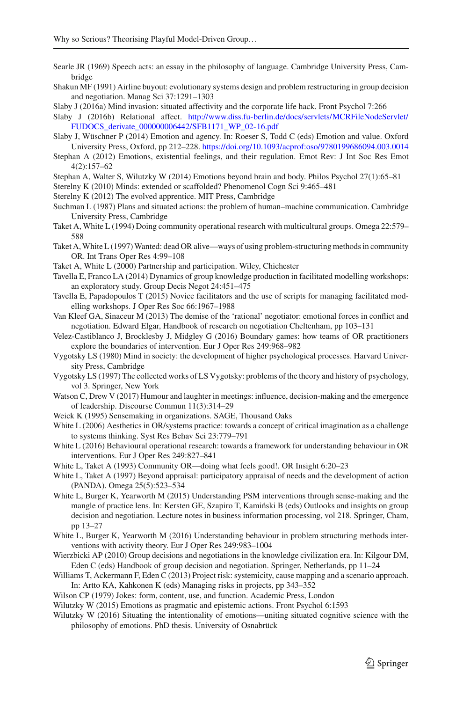<span id="page-20-6"></span>Searle JR (1969) Speech acts: an essay in the philosophy of language. Cambridge University Press, Cambridge

- <span id="page-20-2"></span>Shakun MF (1991) Airline buyout: evolutionary systems design and problem restructuring in group decision and negotiation. Manag Sci 37:1291–1303
- <span id="page-20-8"></span>Slaby J (2016a) Mind invasion: situated affectivity and the corporate life hack. Front Psychol 7:266
- <span id="page-20-9"></span>Slaby J (2016b) Relational affect. [http://www.diss.fu-berlin.de/docs/servlets/MCRFileNodeServlet/](http://www.diss.fu-berlin.de/docs/servlets/MCRFileNodeServlet/FUDOCS_derivate_000000006442/SFB1171_WP_02-16.pdf) [FUDOCS\\_derivate\\_000000006442/SFB1171\\_WP\\_02-16.pdf](http://www.diss.fu-berlin.de/docs/servlets/MCRFileNodeServlet/FUDOCS_derivate_000000006442/SFB1171_WP_02-16.pdf)
- <span id="page-20-22"></span>Slaby J, Wüschner P (2014) Emotion and agency. In: Roeser S, Todd C (eds) Emotion and value. Oxford University Press, Oxford, pp 212–228. <https://doi.org/10.1093/acprof:oso/9780199686094.003.0014>
- <span id="page-20-25"></span>Stephan A (2012) Emotions, existential feelings, and their regulation. Emot Rev: J Int Soc Res Emot 4(2):157–62
- <span id="page-20-20"></span>Stephan A, Walter S, Wilutzky W (2014) Emotions beyond brain and body. Philos Psychol 27(1):65–81

<span id="page-20-21"></span>Sterelny K (2010) Minds: extended or scaffolded? Phenomenol Cogn Sci 9:465–481

- <span id="page-20-29"></span>Sterelny K (2012) The evolved apprentice. MIT Press, Cambridge
- <span id="page-20-19"></span>Suchman L (1987) Plans and situated actions: the problem of human–machine communication. Cambridge University Press, Cambridge
- <span id="page-20-17"></span>Taket A, White L (1994) Doing community operational research with multicultural groups. Omega 22:579– 588
- <span id="page-20-18"></span>Taket A, White L (1997) Wanted: dead OR alive—ways of using problem-structuring methods in community OR. Int Trans Oper Res 4:99–108
- <span id="page-20-0"></span>Taket A, White L (2000) Partnership and participation. Wiley, Chichester
- <span id="page-20-13"></span>Tavella E, Franco LA (2014) Dynamics of group knowledge production in facilitated modelling workshops: an exploratory study. Group Decis Negot 24:451–475
- <span id="page-20-14"></span>Tavella E, Papadopoulos T (2015) Novice facilitators and the use of scripts for managing facilitated modelling workshops. J Oper Res Soc 66:1967–1988
- <span id="page-20-11"></span>Van Kleef GA, Sinaceur M (2013) The demise of the 'rational' negotiator: emotional forces in conflict and negotiation. Edward Elgar, Handbook of research on negotiation Cheltenham, pp 103–131
- <span id="page-20-15"></span>Velez-Castiblanco J, Brocklesby J, Midgley G (2016) Boundary games: how teams of OR practitioners explore the boundaries of intervention. Eur J Oper Res 249:968–982
- <span id="page-20-28"></span>Vygotsky LS (1980) Mind in society: the development of higher psychological processes. Harvard University Press, Cambridge
- <span id="page-20-23"></span>Vygotsky LS (1997) The collected works of LS Vygotsky: problems of the theory and history of psychology, vol 3. Springer, New York
- <span id="page-20-27"></span>Watson C, Drew V (2017) Humour and laughter in meetings: influence, decision-making and the emergence of leadership. Discourse Commun 11(3):314–29
- <span id="page-20-24"></span>Weick K (1995) Sensemaking in organizations. SAGE, Thousand Oaks
- <span id="page-20-1"></span>White L (2006) Aesthetics in OR/systems practice: towards a concept of critical imagination as a challenge to systems thinking. Syst Res Behav Sci 23:779–791
- <span id="page-20-4"></span>White L (2016) Behavioural operational research: towards a framework for understanding behaviour in OR interventions. Eur J Oper Res 249:827–841
- <span id="page-20-3"></span>White L, Taket A (1993) Community OR—doing what feels good!. OR Insight 6:20–23
- <span id="page-20-31"></span>White L, Taket A (1997) Beyond appraisal: participatory appraisal of needs and the development of action (PANDA). Omega 25(5):523–534
- <span id="page-20-30"></span>White L, Burger K, Yearworth M (2015) Understanding PSM interventions through sense-making and the mangle of practice lens. In: Kersten GE, Szapiro T, Kamiński B (eds) Outlooks and insights on group decision and negotiation. Lecture notes in business information processing, vol 218. Springer, Cham, pp 13–27
- <span id="page-20-16"></span>White L, Burger K, Yearworth M (2016) Understanding behaviour in problem structuring methods interventions with activity theory. Eur J Oper Res 249:983–1004
- <span id="page-20-12"></span>Wierzbicki AP (2010) Group decisions and negotiations in the knowledge civilization era. In: Kilgour DM, Eden C (eds) Handbook of group decision and negotiation. Springer, Netherlands, pp 11–24
- <span id="page-20-5"></span>Williams T, Ackermann F, Eden C (2013) Project risk: systemicity, cause mapping and a scenario approach. In: Artto KA, Kahkonen K (eds) Managing risks in projects, pp 343–352
- <span id="page-20-26"></span>Wilson CP (1979) Jokes: form, content, use, and function. Academic Press, London
- <span id="page-20-7"></span>Wilutzky W (2015) Emotions as pragmatic and epistemic actions. Front Psychol 6:1593
- <span id="page-20-10"></span>Wilutzky W (2016) Situating the intentionality of emotions—uniting situated cognitive science with the philosophy of emotions. PhD thesis. University of Osnabrück